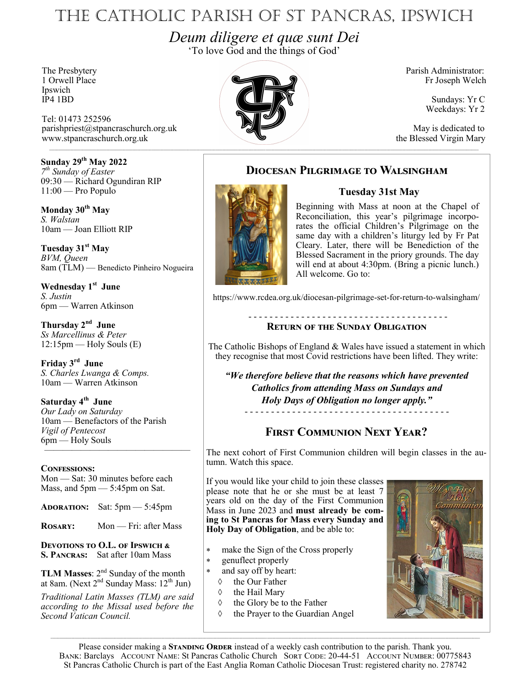# The Catholic Parish of St Pancras, Ipswich

*Deum diligere et quæ sunt Dei* 'To love God and the things of God'

Ipswich<br>IP4 1BD

Tel: 01473 252596 parishpriest@stpancraschurch.org.uk May is dedicated to www.stpancraschurch.org.uk the Blessed Virgin Mary

**Sunday 29th May 2022** *7 th Sunday of Easter* 09:30 — Richard Ogundiran RIP 11:00 — Pro Populo

**Monday 30th May** *S. Walstan* 10am — Joan Elliott RIP

**Tuesday 31st May** *BVM, Queen* 8am (TLM) — Benedicto Pinheiro Nogueira

**Wednesday 1st June** *S. Justin* 6pm — Warren Atkinson

**Thursday 2nd June** *Ss Marcellinus & Peter*  $12:15$ pm — Holy Souls  $(E)$ 

**Friday 3rd June** *S. Charles Lwanga & Comps.* 10am — Warren Atkinson

**Saturday 4th June** *Our Lady on Saturday* 10am — Benefactors of the Parish *Vigil of Pentecost* 6pm — Holy Souls ————————————————

### **Confessions:**

Mon — Sat: 30 minutes before each Mass, and  $5 \text{pm} - 5:45 \text{pm}$  on Sat.

**Adoration:** Sat: 5pm — 5:45pm

**ROSARY:** Mon — Fri: after Mass

**Devotions to O.L. of Ipswich & S. Pancras:** Sat after 10am Mass

**TLM Masses**: 2nd Sunday of the month at 8am. (Next  $2<sup>nd</sup>$  Sunday Mass:  $12<sup>th</sup>$  Jun)

*Traditional Latin Masses (TLM) are said according to the Missal used before the Second Vatican Council.*



Fr Joseph Welch

Sundays: Yr C Weekdays: Yr 2

### **Diocesan Pilgrimage to Walsingham**

### **Tuesday 31st May**



Beginning with Mass at noon at the Chapel of Reconciliation, this year's pilgrimage incorporates the official Children's Pilgrimage on the same day with a children's liturgy led by Fr Pat Cleary. Later, there will be Benediction of the Blessed Sacrament in the priory grounds. The day will end at about 4:30pm. (Bring a picnic lunch.) All welcome. Go to:

https://www.rcdea.org.uk/diocesan-pilgrimage-set-for-return-to-walsingham/

### - - - - - - - - - - - - - - - - - - - - - - - - - - - - - - - - - - - - - - **Return of the Sunday Obligation**

The Catholic Bishops of England & Wales have issued a statement in which they recognise that most Covid restrictions have been lifted. They write:

*"We therefore believe that the reasons which have prevented Catholics from attending Mass on Sundays and Holy Days of Obligation no longer apply."* - - - - - - - - - - - - - - - - - - - - - - - - - - - - - - - - - - - - - - -

## **First Communion Next Year?**

The next cohort of First Communion children will begin classes in the autumn. Watch this space.

If you would like your child to join these classes please note that he or she must be at least 7 years old on the day of the First Communion Mass in June 2023 and **must already be coming to St Pancras for Mass every Sunday and Holy Day of Obligation**, and be able to:

- make the Sign of the Cross properly
- genuflect properly
- and say off by heart:
	- $\Diamond$  the Our Father
	- $\Diamond$  the Hail Mary
	- $\Diamond$  the Glory be to the Father
	- $\Diamond$  the Prayer to the Guardian Angel



Please consider making a **STANDING ORDER** instead of a weekly cash contribution to the parish. Thank you. BANK: Barclays ACCOUNT NAME: St Pancras Catholic Church SORT CODE: 20-44-51 ACCOUNT NUMBER: 00775843 St Pancras Catholic Church is part of the East Anglia Roman Catholic Diocesan Trust: registered charity no. 278742